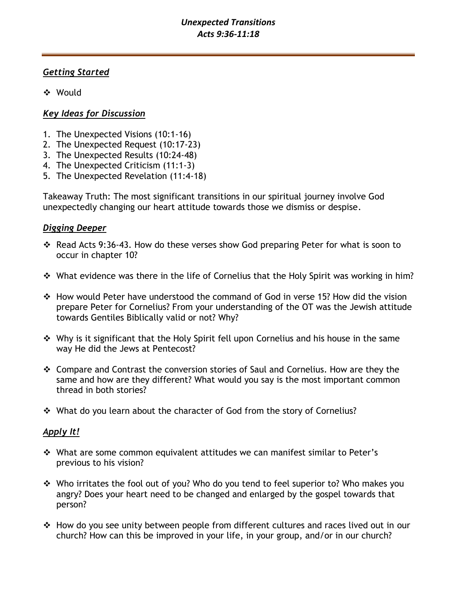## *Unexpected Transitions Acts 9:36-11:18*

## *Getting Started*

❖ Would

# *Key Ideas for Discussion*

- 1. The Unexpected Visions (10:1-16)
- 2. The Unexpected Request (10:17-23)
- 3. The Unexpected Results (10:24-48)
- 4. The Unexpected Criticism (11:1-3)
- 5. The Unexpected Revelation (11:4-18)

Takeaway Truth: The most significant transitions in our spiritual journey involve God unexpectedly changing our heart attitude towards those we dismiss or despise.

## *Digging Deeper*

- ❖ Read Acts 9:36-43. How do these verses show God preparing Peter for what is soon to occur in chapter 10?
- ❖ What evidence was there in the life of Cornelius that the Holy Spirit was working in him?
- ❖ How would Peter have understood the command of God in verse 15? How did the vision prepare Peter for Cornelius? From your understanding of the OT was the Jewish attitude towards Gentiles Biblically valid or not? Why?
- ❖ Why is it significant that the Holy Spirit fell upon Cornelius and his house in the same way He did the Jews at Pentecost?
- ❖ Compare and Contrast the conversion stories of Saul and Cornelius. How are they the same and how are they different? What would you say is the most important common thread in both stories?
- ❖ What do you learn about the character of God from the story of Cornelius?

# *Apply It!*

- ❖ What are some common equivalent attitudes we can manifest similar to Peter's previous to his vision?
- ❖ Who irritates the fool out of you? Who do you tend to feel superior to? Who makes you angry? Does your heart need to be changed and enlarged by the gospel towards that person?
- ❖ How do you see unity between people from different cultures and races lived out in our church? How can this be improved in your life, in your group, and/or in our church?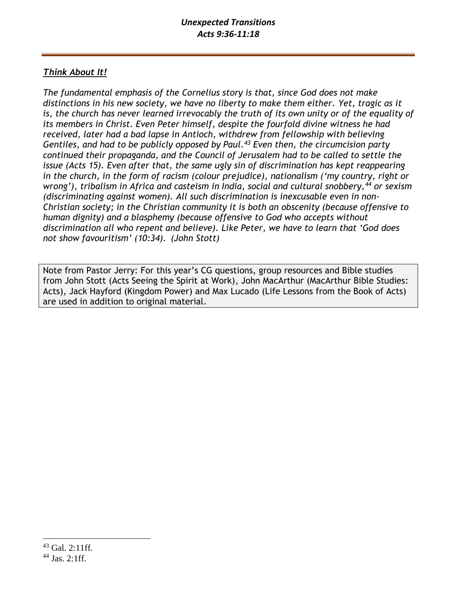# *Think About It!*

*The fundamental emphasis of the Cornelius story is that, since God does not make distinctions in his new society, we have no liberty to make them either. Yet, tragic as it*  is, the church has never learned irrevocably the truth of its own unity or of the equality of *its members in Christ. Even Peter himself, despite the fourfold divine witness he had received, later had a bad lapse in Antioch, withdrew from fellowship with believing Gentiles, and had to be publicly opposed by Paul.<sup>43</sup> Even then, the circumcision party continued their propaganda, and the Council of Jerusalem had to be called to settle the issue (Acts 15). Even after that, the same ugly sin of discrimination has kept reappearing in the church, in the form of racism (colour prejudice), nationalism ('my country, right or wrong'), tribalism in Africa and casteism in India, social and cultural snobbery,<sup>44</sup> or sexism (discriminating against women). All such discrimination is inexcusable even in non-Christian society; in the Christian community it is both an obscenity (because offensive to human dignity) and a blasphemy (because offensive to God who accepts without discrimination all who repent and believe). Like Peter, we have to learn that 'God does not show favouritism' (10:34). (John Stott)*

Note from Pastor Jerry: For this year's CG questions, group resources and Bible studies from John Stott (Acts Seeing the Spirit at Work), John MacArthur (MacArthur Bible Studies: Acts), Jack Hayford (Kingdom Power) and Max Lucado (Life Lessons from the Book of Acts) are used in addition to original material.

<sup>43</sup> Gal. 2:11ff.

 $44$  Jas. 2:1ff.